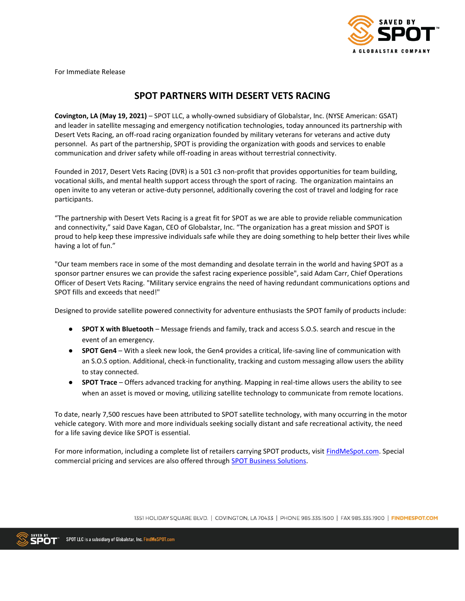

For Immediate Release

# **SPOT PARTNERS WITH DESERT VETS RACING**

**Covington, LA (May 19, 2021)** – SPOT LLC, a wholly-owned subsidiary of Globalstar, Inc. (NYSE American: GSAT) and leader in satellite messaging and emergency notification technologies, today announced its partnership with Desert Vets Racing, an off-road racing organization founded by military veterans for veterans and active duty personnel. As part of the partnership, SPOT is providing the organization with goods and services to enable communication and driver safety while off-roading in areas without terrestrial connectivity.

Founded in 2017, Desert Vets Racing (DVR) is a 501 c3 non-profit that provides opportunities for team building, vocational skills, and mental health support access through the sport of racing. The organization maintains an open invite to any veteran or active-duty personnel, additionally covering the cost of travel and lodging for race participants.

"The partnership with Desert Vets Racing is a great fit for SPOT as we are able to provide reliable communication and connectivity," said Dave Kagan, CEO of Globalstar, Inc. "The organization has a great mission and SPOT is proud to help keep these impressive individuals safe while they are doing something to help better their lives while having a lot of fun."

"Our team members race in some of the most demanding and desolate terrain in the world and having SPOT as a sponsor partner ensures we can provide the safest racing experience possible", said Adam Carr, Chief Operations Officer of Desert Vets Racing. "Military service engrains the need of having redundant communications options and SPOT fills and exceeds that need!"

Designed to provide satellite powered connectivity for adventure enthusiasts the SPOT family of products include:

- **SPOT X with Bluetooth** Message friends and family, track and access S.O.S. search and rescue in the event of an emergency.
- **SPOT Gen4**  With a sleek new look, the Gen4 provides a critical, life-saving line of communication with an S.O.S option. Additional, check-in functionality, tracking and custom messaging allow users the ability to stay connected.
- **SPOT Trace**  Offers advanced tracking for anything. Mapping in real-time allows users the ability to see when an asset is moved or moving, utilizing satellite technology to communicate from remote locations.

To date, nearly 7,500 rescues have been attributed to SPOT satellite technology, with many occurring in the motor vehicle category. With more and more individuals seeking socially distant and safe recreational activity, the need for a life saving device like SPOT is essential.

For more information, including a complete list of retailers carrying SPOT products, visit **FindMeSpot.com**. Special commercial pricing and services are also offered through **SPOT Business Solutions**.